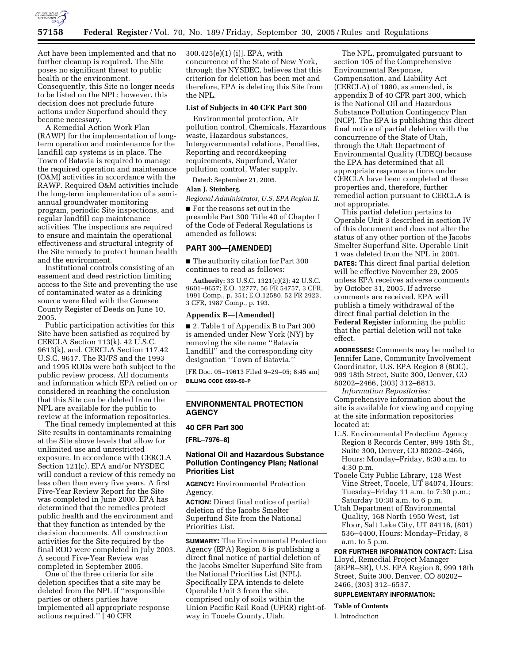

Act have been implemented and that no further cleanup is required. The Site poses no significant threat to public health or the environment. Consequently, this Site no longer needs to be listed on the NPL; however, this decision does not preclude future actions under Superfund should they become necessary.

A Remedial Action Work Plan (RAWP) for the implementation of longterm operation and maintenance for the landfill cap systems is in place. The Town of Batavia is required to manage the required operation and maintenance (O&M) activities in accordance with the RAWP. Required O&M activities include the long-term implementation of a semiannual groundwater monitoring program, periodic Site inspections, and regular landfill cap maintenance activities. The inspections are required to ensure and maintain the operational effectiveness and structural integrity of the Site remedy to protect human health and the environment.

Institutional controls consisting of an easement and deed restriction limiting access to the Site and preventing the use of contaminated water as a drinking source were filed with the Genesee County Register of Deeds on June 10, 2005.

Public participation activities for this Site have been satisfied as required by CERCLA Section 113(k), 42 U.S.C. 9613(k), and, CERCLA Section 117,42 U.S.C. 9617. The RI/FS and the 1993 and 1995 RODs were both subject to the public review process. All documents and information which EPA relied on or considered in reaching the conclusion that this Site can be deleted from the NPL are available for the public to review at the information repositories.

The final remedy implemented at this Site results in contaminants remaining at the Site above levels that allow for unlimited use and unrestricted exposure. In accordance with CERCLA Section 121(c), EPA and/or NYSDEC will conduct a review of this remedy no less often than every five years. A first Five-Year Review Report for the Site was completed in June 2000. EPA has determined that the remedies protect public health and the environment and that they function as intended by the decision documents. All construction activities for the Site required by the final ROD were completed in July 2003. A second Five-Year Review was completed in September 2005.

One of the three criteria for site deletion specifies that a site may be deleted from the NPL if ''responsible parties or others parties have implemented all appropriate response actions required.'' [ 40 CFR

300.425(e)(1) (i)]. EPA, with concurrence of the State of New York, through the NYSDEC, believes that this criterion for deletion has been met and therefore, EPA is deleting this Site from the NPL.

### **List of Subjects in 40 CFR Part 300**

Environmental protection, Air pollution control, Chemicals, Hazardous waste, Hazardous substances, Intergovernmental relations, Penalties, Reporting and recordkeeping requirements, Superfund, Water pollution control, Water supply.

Dated: September 21, 2005.

### **Alan J. Steinberg,**

*Regional Administrator, U.S. EPA Region II.* 

■ For the reasons set out in the preamble Part 300 Title 40 of Chapter I of the Code of Federal Regulations is amended as follows:

### **PART 300—[AMENDED]**

■ The authority citation for Part 300 continues to read as follows:

**Authority:** 33 U.S.C. 1321(c)(2); 42 U.S.C. 9601–9657; E.O. 12777, 56 FR 54757, 3 CFR, 1991 Comp., p. 351; E.O.12580, 52 FR 2923, 3 CFR, 1987 Comp., p. 193.

### **Appendix B—[Amended]**

■ 2. Table 1 of Appendix B to Part 300 is amended under New York (NY) by removing the site name ''Batavia Landfill<sup>3</sup> and the corresponding city designation ''Town of Batavia.''

[FR Doc. 05–19613 Filed 9–29–05; 8:45 am] **BILLING CODE 6560–50–P** 

# **ENVIRONMENTAL PROTECTION AGENCY**

# **40 CFR Part 300**

**[FRL–7976–8]** 

# **National Oil and Hazardous Substance Pollution Contingency Plan; National Priorities List**

**AGENCY:** Environmental Protection Agency.

**ACTION:** Direct final notice of partial deletion of the Jacobs Smelter Superfund Site from the National Priorities List.

**SUMMARY:** The Environmental Protection Agency (EPA) Region 8 is publishing a direct final notice of partial deletion of the Jacobs Smelter Superfund Site from the National Priorities List (NPL). Specifically EPA intends to delete Operable Unit 3 from the site, comprised only of soils within the Union Pacific Rail Road (UPRR) right-ofway in Tooele County, Utah.

The NPL, promulgated pursuant to section 105 of the Comprehensive Environmental Response, Compensation, and Liability Act (CERCLA) of 1980, as amended, is appendix B of 40 CFR part 300, which is the National Oil and Hazardous Substance Pollution Contingency Plan (NCP). The EPA is publishing this direct final notice of partial deletion with the concurrence of the State of Utah, through the Utah Department of Environmental Quality (UDEQ) because the EPA has determined that all appropriate response actions under CERCLA have been completed at these properties and, therefore, further remedial action pursuant to CERCLA is not appropriate.

This partial deletion pertains to Operable Unit 3 described in section IV of this document and does not alter the status of any other portion of the Jacobs Smelter Superfund Site. Operable Unit 1 was deleted from the NPL in 2001. **DATES:** This direct final partial deletion will be effective November 29, 2005 unless EPA receives adverse comments by October 31, 2005. If adverse comments are received, EPA will publish a timely withdrawal of the direct final partial deletion in the **Federal Register** informing the public that the partial deletion will not take effect.

**ADDRESSES:** Comments may be mailed to Jennifer Lane, Community Involvement Coordinator, U.S. EPA Region 8 (8OC), 999 18th Street, Suite 300, Denver, CO 80202–2466, (303) 312–6813.

*Information Repositories:*  Comprehensive information about the site is available for viewing and copying at the site information repositories located at:

- U.S. Environmental Protection Agency Region 8 Records Center, 999 18th St., Suite 300, Denver, CO 80202–2466, Hours: Monday–Friday, 8:30 a.m. to 4:30 p.m.
- Tooele City Public Library, 128 West Vine Street, Tooele, UT 84074, Hours: Tuesday–Friday 11 a.m. to 7:30 p.m.; Saturday 10:30 a.m. to 6 p.m.
- Utah Department of Environmental Quality, 168 North 1950 West, 1st Floor, Salt Lake City, UT 84116, (801) 536–4400, Hours: Monday–Friday, 8 a.m. to 5 p.m.

**FOR FURTHER INFORMATION CONTACT:** Lisa Lloyd, Remedial Project Manager (8EPR–SR), U.S. EPA Region 8, 999 18th Street, Suite 300, Denver, CO 80202– 2466, (303) 312–6537.

### **SUPPLEMENTARY INFORMATION:**

**Table of Contents** 

I. Introduction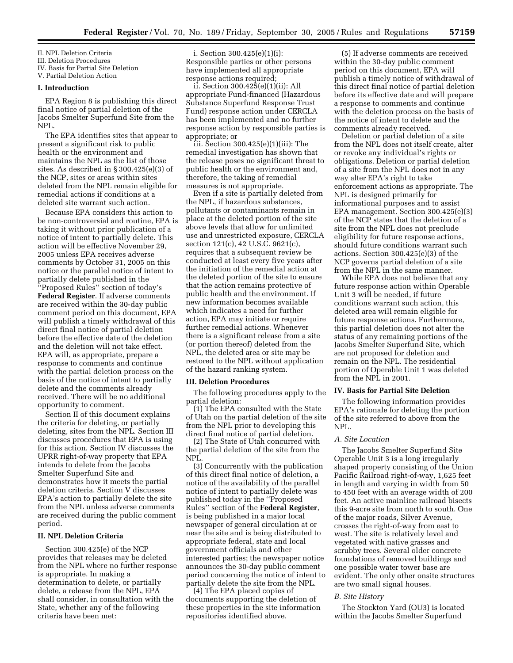II. NPL Deletion Criteria

III. Deletion Procedures

IV. Basis for Partial Site Deletion

V. Partial Deletion Action

# **I. Introduction**

EPA Region 8 is publishing this direct final notice of partial deletion of the Jacobs Smelter Superfund Site from the NPL.

The EPA identifies sites that appear to present a significant risk to public health or the environment and maintains the NPL as the list of those sites. As described in § 300.425(e)(3) of the NCP, sites or areas within sites deleted from the NPL remain eligible for remedial actions if conditions at a deleted site warrant such action.

Because EPA considers this action to be non-controversial and routine, EPA is taking it without prior publication of a notice of intent to partially delete. This action will be effective November 29, 2005 unless EPA receives adverse comments by October 31, 2005 on this notice or the parallel notice of intent to partially delete published in the ''Proposed Rules'' section of today's **Federal Register**. If adverse comments are received within the 30-day public comment period on this document, EPA will publish a timely withdrawal of this direct final notice of partial deletion before the effective date of the deletion and the deletion will not take effect. EPA will, as appropriate, prepare a response to comments and continue with the partial deletion process on the basis of the notice of intent to partially delete and the comments already received. There will be no additional opportunity to comment.

Section II of this document explains the criteria for deleting, or partially deleting, sites from the NPL. Section III discusses procedures that EPA is using for this action. Section IV discusses the UPRR right-of-way property that EPA intends to delete from the Jacobs Smelter Superfund Site and demonstrates how it meets the partial deletion criteria. Section V discusses EPA's action to partially delete the site from the NPL unless adverse comments are received during the public comment period.

## **II. NPL Deletion Criteria**

Section 300.425(e) of the NCP provides that releases may be deleted from the NPL where no further response is appropriate. In making a determination to delete, or partially delete, a release from the NPL, EPA shall consider, in consultation with the State, whether any of the following criteria have been met:

i. Section 300.425(e)(1)(i): Responsible parties or other persons have implemented all appropriate response actions required;

ii. Section 300.425(e)(1)(ii): All appropriate Fund-financed (Hazardous Substance Superfund Response Trust Fund) response action under CERCLA has been implemented and no further response action by responsible parties is appropriate; or

 $\hat{ii}$ . Section 300.425 $(e)(1)(iii)$ : The remedial investigation has shown that the release poses no significant threat to public health or the environment and, therefore, the taking of remedial measures is not appropriate.

Even if a site is partially deleted from the NPL, if hazardous substances, pollutants or contaminants remain in place at the deleted portion of the site above levels that allow for unlimited use and unrestricted exposure, CERCLA section 121(c), 42 U.S.C. 9621(c), requires that a subsequent review be conducted at least every five years after the initiation of the remedial action at the deleted portion of the site to ensure that the action remains protective of public health and the environment. If new information becomes available which indicates a need for further action, EPA may initiate or require further remedial actions. Whenever there is a significant release from a site (or portion thereof) deleted from the NPL, the deleted area or site may be restored to the NPL without application of the hazard ranking system.

### **III. Deletion Procedures**

The following procedures apply to the partial deletion:

(1) The EPA consulted with the State of Utah on the partial deletion of the site from the NPL prior to developing this direct final notice of partial deletion.

(2) The State of Utah concurred with the partial deletion of the site from the NPL.

(3) Concurrently with the publication of this direct final notice of deletion, a notice of the availability of the parallel notice of intent to partially delete was published today in the ''Proposed Rules'' section of the **Federal Register**, is being published in a major local newspaper of general circulation at or near the site and is being distributed to appropriate federal, state and local government officials and other interested parties; the newspaper notice announces the 30-day public comment period concerning the notice of intent to partially delete the site from the NPL.

(4) The EPA placed copies of documents supporting the deletion of these properties in the site information repositories identified above.

(5) If adverse comments are received within the 30-day public comment period on this document, EPA will publish a timely notice of withdrawal of this direct final notice of partial deletion before its effective date and will prepare a response to comments and continue with the deletion process on the basis of the notice of intent to delete and the comments already received.

Deletion or partial deletion of a site from the NPL does not itself create, alter or revoke any individual's rights or obligations. Deletion or partial deletion of a site from the NPL does not in any way alter EPA's right to take enforcement actions as appropriate. The NPL is designed primarily for informational purposes and to assist EPA management. Section 300.425(e)(3) of the NCP states that the deletion of a site from the NPL does not preclude eligibility for future response actions, should future conditions warrant such actions. Section 300.425(e)(3) of the NCP governs partial deletion of a site from the NPL in the same manner.

While EPA does not believe that any future response action within Operable Unit 3 will be needed, if future conditions warrant such action, this deleted area will remain eligible for future response actions. Furthermore, this partial deletion does not alter the status of any remaining portions of the Jacobs Smelter Superfund Site, which are not proposed for deletion and remain on the NPL. The residential portion of Operable Unit 1 was deleted from the NPL in 2001.

### **IV. Basis for Partial Site Deletion**

The following information provides EPA's rationale for deleting the portion of the site referred to above from the NPL.

### *A. Site Location*

The Jacobs Smelter Superfund Site Operable Unit 3 is a long irregularly shaped property consisting of the Union Pacific Railroad right-of-way, 1,625 feet in length and varying in width from 50 to 450 feet with an average width of 200 feet. An active mainline railroad bisects this 9-acre site from north to south. One of the major roads, Silver Avenue, crosses the right-of-way from east to west. The site is relatively level and vegetated with native grasses and scrubby trees. Several older concrete foundations of removed buildings and one possible water tower base are evident. The only other onsite structures are two small signal houses.

## *B. Site History*

The Stockton Yard (OU3) is located within the Jacobs Smelter Superfund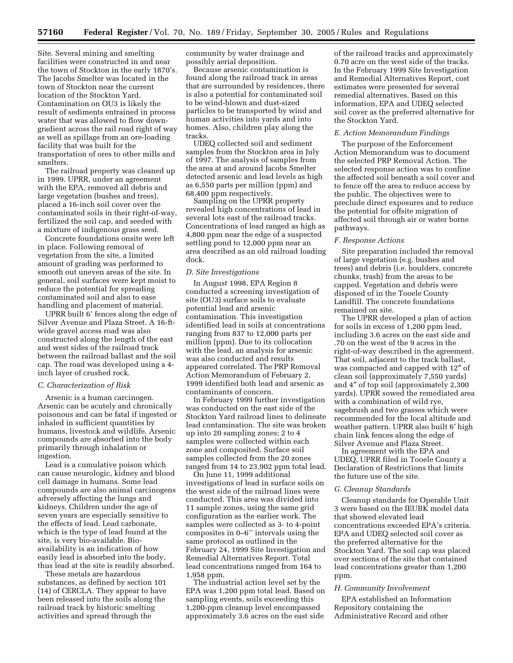Site. Several mining and smelting facilities were constructed in and near the town of Stockton in the early 1870's. The Jacobs Smelter was located in the town of Stockton near the current location of the Stockton Yard. Contamination on OU3 is likely the result of sediments entrained in process water that was allowed to flow downgradient across the rail road right of way as well as spillage from an ore-loading facility that was built for the transportation of ores to other mills and smelters.

The railroad property was cleaned up in 1999. UPRR, under an agreement with the EPA, removed all debris and large vegetation (bushes and trees), placed a 16-inch soil cover over the contaminated soils in their right-of-way, fertilized the soil cap, and seeded with a mixture of indigenous grass seed.

Concrete foundations onsite were left in place. Following removal of vegetation from the site, a limited amount of grading was performed to smooth out uneven areas of the site. In general, soil surfaces were kept moist to reduce the potential for spreading contaminated soil and also to ease handling and placement of material.

UPRR built 6' fences along the edge of Silver Avenue and Plaza Street. A 16-ftwide gravel access road was also constructed along the length of the east and west sides of the railroad track between the railroad ballast and the soil cap. The road was developed using a 4 inch layer of crushed rock.

### *C. Characterization of Risk*

Arsenic is a human carcinogen. Arsenic can be acutely and chronically poisonous and can be fatal if ingested or inhaled in sufficient quantities by humans, livestock and wildlife. Arsenic compounds are absorbed into the body primarily through inhalation or ingestion.

Lead is a cumulative poison which can cause neurologic, kidney and blood cell damage in humans. Some lead compounds are also animal carcinogens adversely affecting the lungs and kidneys. Children under the age of seven years are especially sensitive to the effects of lead. Lead carbonate, which is the type of lead found at the site, is very bio-available. Bioavailability is an indication of how easily lead is absorbed into the body, thus lead at the site is readily absorbed.

These metals are hazardous substances, as defined by section 101 (14) of CERCLA. They appear to have been released into the soils along the railroad track by historic smelting activities and spread through the

community by water drainage and possibly aerial deposition.

Because arsenic contamination is found along the railroad track in areas that are surrounded by residences, there is also a potential for contaminated soil to be wind-blown and dust-sized particles to be transported by wind and human activities into yards and into homes. Also, children play along the tracks.

UDEQ collected soil and sediment samples from the Stockton area in July of 1997. The analysis of samples from the area at and around Jacobs Smelter detected arsenic and lead levels as high as 6,550 parts per million (ppm) and 68,400 ppm respectively.

Sampling on the UPRR property revealed high concentrations of lead in several lots east of the railroad tracks. Concentrations of lead ranged as high as 4,800 ppm near the edge of a suspected settling pond to 12,000 ppm near an area described as an old railroad loading dock.

#### *D. Site Investigations*

In August 1998, EPA Region 8 conducted a screening investigation of site (OU3) surface soils to evaluate potential lead and arsenic contamination. This investigation identified lead in soils at concentrations ranging from 837 to 12,000 parts per million (ppm). Due to its collocation with the lead, an analysis for arsenic was also conducted and results appeared correlated. The PRP Removal Action Memorandum of February 2, 1999 identified both lead and arsenic as contaminants of concern.

In February 1999 further investigation was conducted on the east side of the Stockton Yard railroad lines to delineate lead contamination. The site was broken up into 20 sampling zones; 2 to 4 samples were collected within each zone and composited. Surface soil samples collected from the 20 zones ranged from 14 to 23,902 ppm total lead.

On June 11, 1999 additional investigations of lead in surface soils on the west side of the railroad lines were conducted. This area was divided into 11 sample zones, using the same grid configuration as the earlier work. The samples were collected as 3- to 4-point composites in 0–6'' intervals using the same protocol as outlined in the February 24, 1999 Site Investigation and Remedial Alternatives Report. Total lead concentrations ranged from 164 to 1,958 ppm.

The industrial action level set by the EPA was 1,200 ppm total lead. Based on sampling events, soils exceeding this 1,200-ppm cleanup level encompassed approximately 3.6 acres on the east side

of the railroad tracks and approximately 0.70 acre on the west side of the tracks. In the February 1999 Site Investigation and Remedial Alternatives Report, cost estimates were presented for several remedial alternatives. Based on this information, EPA and UDEQ selected soil cover as the preferred alternative for the Stockton Yard.

#### *E. Action Memorandum Findings*

The purpose of the Enforcement Action Memorandum was to document the selected PRP Removal Action. The selected response action was to confine the affected soil beneath a soil cover and to fence off the area to reduce access by the public. The objectives were to preclude direct exposures and to reduce the potential for offsite migration of affected soil through air or water borne pathways.

#### *F. Response Actions*

Site preparation included the removal of large vegetation (e.g. bushes and trees) and debris (i.e. boulders, concrete chunks, trash) from the areas to be capped. Vegetation and debris were disposed of in the Tooele County Landfill. The concrete foundations remained on site.

The UPRR developed a plan of action for soils in excess of 1,200 ppm lead, including 3.6 acres on the east side and .70 on the west of the 9 acres in the right-of-way described in the agreement. That soil, adjacent to the track ballast, was compacted and capped with 12″ of clean soil (approximately 7,550 yards) and 4″ of top soil (approximately 2,300 yards). UPRR sowed the remediated area with a combination of wild rye, sagebrush and two grasses which were recommended for the local altitude and weather pattern. UPRR also built 6′ high chain link fences along the edge of Silver Avenue and Plaza Street.

In agreement with the EPA and UDEQ, UPRR filed in Tooele County a Declaration of Restrictions that limits the future use of the site.

# *G. Cleanup Standards*

Cleanup standards for Operable Unit 3 were based on the IEUBK model data that showed elevated lead concentrations exceeded EPA's criteria. EPA and UDEQ selected soil cover as the preferred alternative for the Stockton Yard. The soil cap was placed over sections of the site that contained lead concentrations greater than 1,200 ppm.

### *H. Community Involvement*

EPA established an Information Repository containing the Administrative Record and other